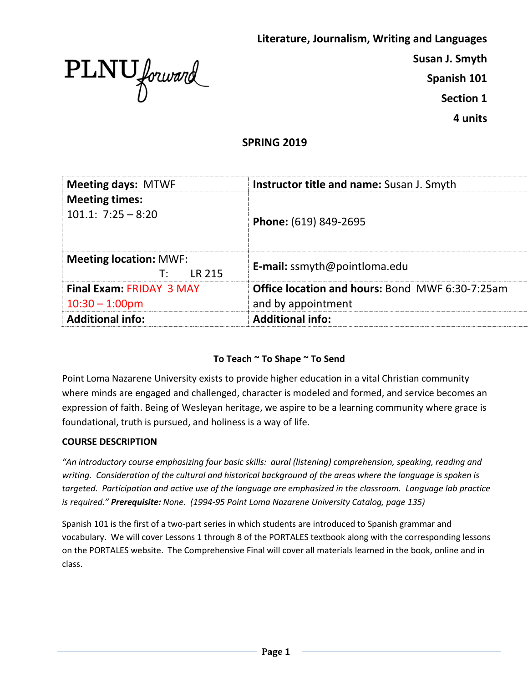

**Literature, Journalism, Writing and Languages** 

**Susan J. Smyth**

**Spanish 101**

**Section 1**

**4 units**

# **SPRING 2019**

| <b>Meeting days: MTWF</b>                            | <b>Instructor title and name:</b> Susan J. Smyth                             |
|------------------------------------------------------|------------------------------------------------------------------------------|
| <b>Meeting times:</b><br>$101.1: 7:25 - 8:20$        | Phone: (619) 849-2695                                                        |
| <b>Meeting location: MWF:</b><br><b>IR 215</b><br>т٠ | <b>E-mail:</b> ssmyth@pointloma.edu                                          |
| <b>Final Exam: FRIDAY 3 MAY</b><br>$10:30 - 1:00$ pm | <b>Office location and hours: Bond MWF 6:30-7:25am</b><br>and by appointment |
| <b>Additional info:</b>                              | <b>Additional info:</b>                                                      |

## **To Teach ~ To Shape ~ To Send**

Point Loma Nazarene University exists to provide higher education in a vital Christian community where minds are engaged and challenged, character is modeled and formed, and service becomes an expression of faith. Being of Wesleyan heritage, we aspire to be a learning community where grace is foundational, truth is pursued, and holiness is a way of life.

#### **COURSE DESCRIPTION**

*"An introductory course emphasizing four basic skills: aural (listening) comprehension, speaking, reading and writing. Consideration of the cultural and historical background of the areas where the language is spoken is targeted. Participation and active use of the language are emphasized in the classroom. Language lab practice is required." Prerequisite: None. (1994-95 Point Loma Nazarene University Catalog, page 135)*

Spanish 101 is the first of a two-part series in which students are introduced to Spanish grammar and vocabulary. We will cover Lessons 1 through 8 of the PORTALES textbook along with the corresponding lessons on the PORTALES website. The Comprehensive Final will cover all materials learned in the book, online and in class.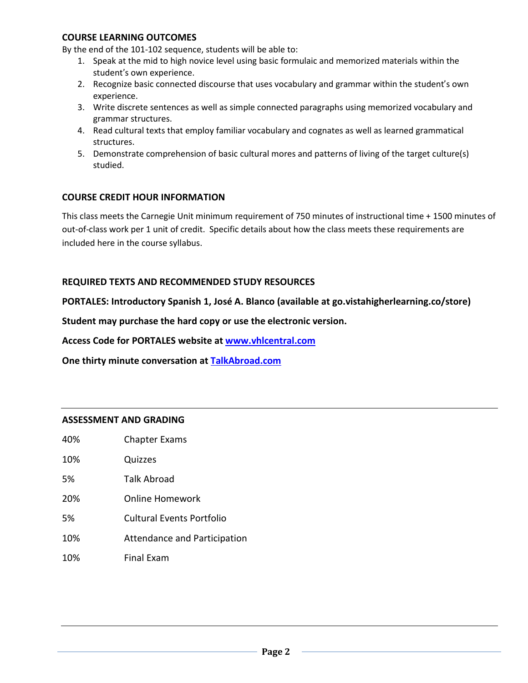#### **COURSE LEARNING OUTCOMES**

By the end of the 101-102 sequence, students will be able to:

- 1. Speak at the mid to high novice level using basic formulaic and memorized materials within the student's own experience.
- 2. Recognize basic connected discourse that uses vocabulary and grammar within the student's own experience.
- 3. Write discrete sentences as well as simple connected paragraphs using memorized vocabulary and grammar structures.
- 4. Read cultural texts that employ familiar vocabulary and cognates as well as learned grammatical structures.
- 5. Demonstrate comprehension of basic cultural mores and patterns of living of the target culture(s) studied.

## **COURSE CREDIT HOUR INFORMATION**

This class meets the Carnegie Unit minimum requirement of 750 minutes of instructional time + 1500 minutes of out-of-class work per 1 unit of credit. Specific details about how the class meets these requirements are included here in the course syllabus.

### **REQUIRED TEXTS AND RECOMMENDED STUDY RESOURCES**

**PORTALES: Introductory Spanish 1, José A. Blanco (available at go.vistahigherlearning.co/store)**

**Student may purchase the hard copy or use the electronic version.**

**Access Code for PORTALES website at [www.vhlcentral.com](http://www.vhlcentral.com/)**

**One thirty minute conversation at TalkAbroad.com**

#### **ASSESSMENT AND GRADING**

| ем амрамалич |                                       |
|--------------|---------------------------------------|
| 40%          | <b>Chapter Exams</b>                  |
| 10%          | Quizzes                               |
| 5%           | Talk Abroad                           |
| 20%          | Online Homework                       |
| 5%           | Cultural Events Portfolio             |
| 100/         | تقدمته تفسدها امسد المدامسة المستحققة |

- 10% Attendance and Participation
- 10% Final Exam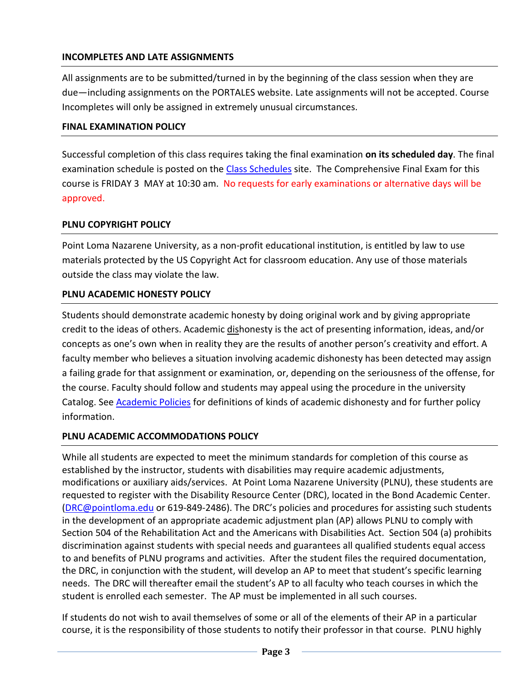# **INCOMPLETES AND LATE ASSIGNMENTS**

All assignments are to be submitted/turned in by the beginning of the class session when they are due—including assignments on the PORTALES website. Late assignments will not be accepted. Course Incompletes will only be assigned in extremely unusual circumstances.

### **FINAL EXAMINATION POLICY**

Successful completion of this class requires taking the final examination **on its scheduled day**. The final examination schedule is posted on the [Class Schedules](http://www.pointloma.edu/experience/academics/class-schedules) site. The Comprehensive Final Exam for this course is FRIDAY 3 MAY at 10:30 am. No requests for early examinations or alternative days will be approved.

## **PLNU COPYRIGHT POLICY**

Point Loma Nazarene University, as a non-profit educational institution, is entitled by law to use materials protected by the US Copyright Act for classroom education. Any use of those materials outside the class may violate the law.

## **PLNU ACADEMIC HONESTY POLICY**

Students should demonstrate academic honesty by doing original work and by giving appropriate credit to the ideas of others. Academic dishonesty is the act of presenting information, ideas, and/or concepts as one's own when in reality they are the results of another person's creativity and effort. A faculty member who believes a situation involving academic dishonesty has been detected may assign a failing grade for that assignment or examination, or, depending on the seriousness of the offense, for the course. Faculty should follow and students may appeal using the procedure in the university Catalog. See [Academic Policies](http://catalog.pointloma.edu/content.php?catoid=18&navoid=1278) for definitions of kinds of academic dishonesty and for further policy information.

## **PLNU ACADEMIC ACCOMMODATIONS POLICY**

While all students are expected to meet the minimum standards for completion of this course as established by the instructor, students with disabilities may require academic adjustments, modifications or auxiliary aids/services. At Point Loma Nazarene University (PLNU), these students are requested to register with the Disability Resource Center (DRC), located in the Bond Academic Center. [\(DRC@pointloma.edu](mailto:DRC@pointloma.edu) or 619-849-2486). The DRC's policies and procedures for assisting such students in the development of an appropriate academic adjustment plan (AP) allows PLNU to comply with Section 504 of the Rehabilitation Act and the Americans with Disabilities Act. Section 504 (a) prohibits discrimination against students with special needs and guarantees all qualified students equal access to and benefits of PLNU programs and activities. After the student files the required documentation, the DRC, in conjunction with the student, will develop an AP to meet that student's specific learning needs. The DRC will thereafter email the student's AP to all faculty who teach courses in which the student is enrolled each semester. The AP must be implemented in all such courses.

If students do not wish to avail themselves of some or all of the elements of their AP in a particular course, it is the responsibility of those students to notify their professor in that course. PLNU highly